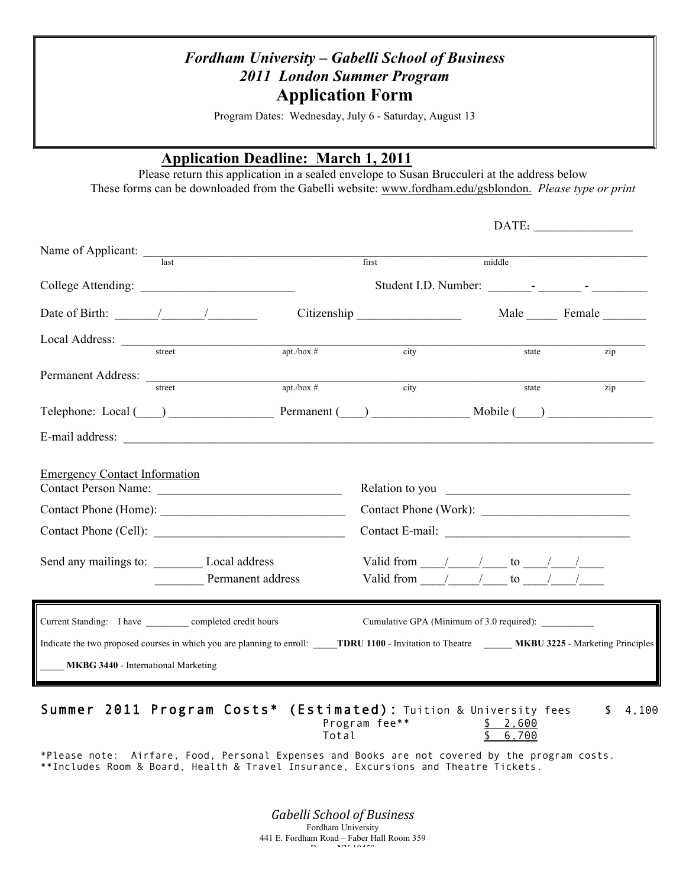## *Fordham University – Gabelli School of Business 2011 London Summer Program* **Application Form**

Program Dates: Wednesday, July 6 - Saturday, August 13

#### **Application Deadline: March 1, 2011**

Please return this application in a sealed envelope to Susan Brucculeri at the address below These forms can be downloaded from the Gabelli website: www.fordham.edu/gsblondon. *Please type or print*

| Name of Applicant:                                                                                                                                                                                                                                                                                                                                                                                                |                   |               | first                                                                                                                                     | middle |             |
|-------------------------------------------------------------------------------------------------------------------------------------------------------------------------------------------------------------------------------------------------------------------------------------------------------------------------------------------------------------------------------------------------------------------|-------------------|---------------|-------------------------------------------------------------------------------------------------------------------------------------------|--------|-------------|
|                                                                                                                                                                                                                                                                                                                                                                                                                   |                   |               |                                                                                                                                           |        |             |
| College Attending:                                                                                                                                                                                                                                                                                                                                                                                                |                   |               |                                                                                                                                           |        |             |
| Date of Birth: $\frac{1}{\sqrt{1-\frac{1}{2}}}\frac{1}{\sqrt{1-\frac{1}{2}}}\frac{1}{\sqrt{1-\frac{1}{2}}}\frac{1}{\sqrt{1-\frac{1}{2}}}\frac{1}{\sqrt{1-\frac{1}{2}}}\frac{1}{\sqrt{1-\frac{1}{2}}}\frac{1}{\sqrt{1-\frac{1}{2}}}\frac{1}{\sqrt{1-\frac{1}{2}}}\frac{1}{\sqrt{1-\frac{1}{2}}}\frac{1}{\sqrt{1-\frac{1}{2}}}\frac{1}{\sqrt{1-\frac{1}{2}}}\frac{1}{\sqrt{1-\frac{1}{2}}}\frac{1}{\sqrt{1-\frac{1$ |                   |               | Citizenship                                                                                                                               |        | Male Female |
| Local Address:                                                                                                                                                                                                                                                                                                                                                                                                    |                   |               |                                                                                                                                           |        |             |
|                                                                                                                                                                                                                                                                                                                                                                                                                   | street            | $apt./box \#$ | city                                                                                                                                      | state  | zip         |
| Permanent Address:                                                                                                                                                                                                                                                                                                                                                                                                |                   |               |                                                                                                                                           |        |             |
|                                                                                                                                                                                                                                                                                                                                                                                                                   | street            | $apt./box \#$ | city                                                                                                                                      | state  | zip         |
|                                                                                                                                                                                                                                                                                                                                                                                                                   |                   |               | Telephone: Local () Permanent () Mobile ()                                                                                                |        |             |
|                                                                                                                                                                                                                                                                                                                                                                                                                   |                   |               |                                                                                                                                           |        |             |
| <b>Emergency Contact Information</b>                                                                                                                                                                                                                                                                                                                                                                              |                   |               |                                                                                                                                           |        |             |
| Contact Person Name:                                                                                                                                                                                                                                                                                                                                                                                              |                   |               |                                                                                                                                           |        |             |
|                                                                                                                                                                                                                                                                                                                                                                                                                   |                   |               | Contact Phone (Work):                                                                                                                     |        |             |
|                                                                                                                                                                                                                                                                                                                                                                                                                   |                   |               |                                                                                                                                           |        |             |
| Send any mailings to: Local address                                                                                                                                                                                                                                                                                                                                                                               |                   |               | Valid from $\frac{1}{\sqrt{2}}$ to $\frac{1}{\sqrt{2}}$                                                                                   |        |             |
|                                                                                                                                                                                                                                                                                                                                                                                                                   | Permanent address |               | Valid from $/$ / to $/$                                                                                                                   |        |             |
| Current Standing: I have ____________ completed credit hours                                                                                                                                                                                                                                                                                                                                                      |                   |               |                                                                                                                                           |        |             |
|                                                                                                                                                                                                                                                                                                                                                                                                                   |                   |               | Indicate the two proposed courses in which you are planning to enroll: TDRU 1100 - Invitation to Theatre MKBU 3225 - Marketing Principles |        |             |
| <b>MKBG 3440 - International Marketing</b>                                                                                                                                                                                                                                                                                                                                                                        |                   |               |                                                                                                                                           |        |             |
|                                                                                                                                                                                                                                                                                                                                                                                                                   |                   |               |                                                                                                                                           |        |             |

|  |  | Summer 2011 Program Costs* (Estimated): Tuition & University fees |          | \$4.100 |
|--|--|-------------------------------------------------------------------|----------|---------|
|  |  | Program fee**                                                     | \$ 2.600 |         |
|  |  | Total                                                             | \$ 6.700 |         |

\*Please note: Airfare, Food, Personal Expenses and Books are not covered by the program costs. \*\*Includes Room & Board, Health & Travel Insurance, Excursions and Theatre Tickets.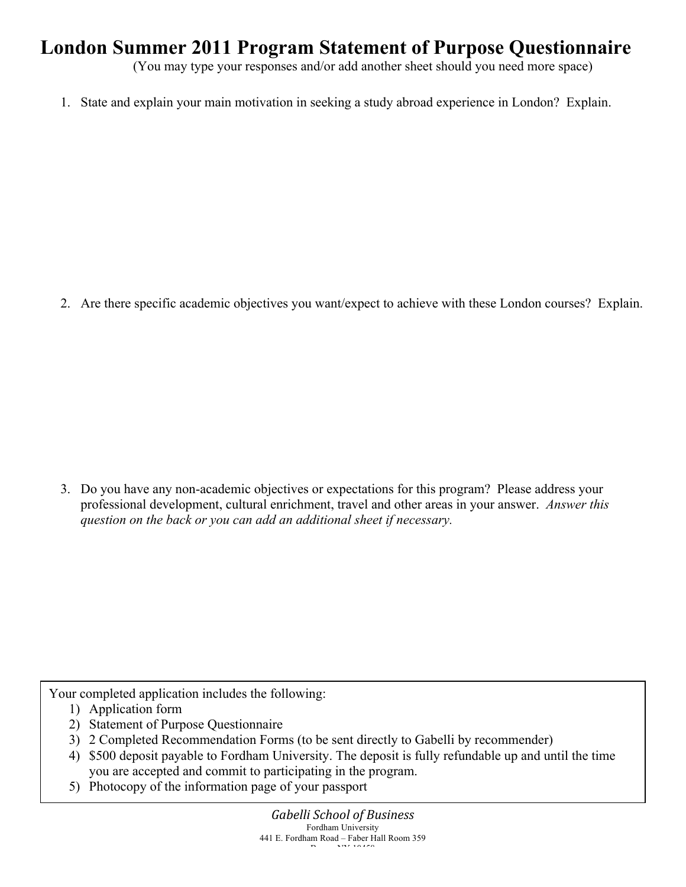# **London Summer 2011 Program Statement of Purpose Questionnaire**

(You may type your responses and/or add another sheet should you need more space)

1. State and explain your main motivation in seeking a study abroad experience in London? Explain.

2. Are there specific academic objectives you want/expect to achieve with these London courses? Explain.

3. Do you have any non-academic objectives or expectations for this program? Please address your professional development, cultural enrichment, travel and other areas in your answer. *Answer this question on the back or you can add an additional sheet if necessary.*

Your completed application includes the following:

- 1) Application form
- 2) Statement of Purpose Questionnaire
- 3) 2 Completed Recommendation Forms (to be sent directly to Gabelli by recommender)
- 4) \$500 deposit payable to Fordham University. The deposit is fully refundable up and until the time you are accepted and commit to participating in the program.
- 5) Photocopy of the information page of your passport